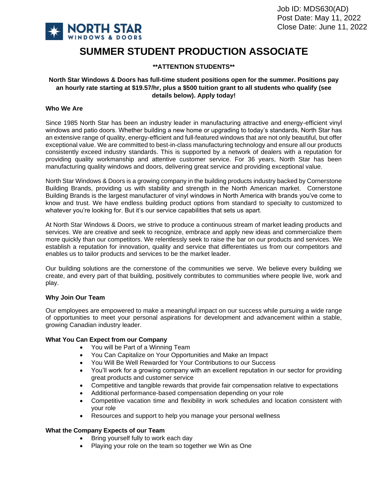

# **SUMMER STUDENT PRODUCTION ASSOCIATE**

## **\*\*ATTENTION STUDENTS\*\***

## **North Star Windows & Doors has full-time student positions open for the summer. Positions pay an hourly rate starting at \$19.57/hr, plus a \$500 tuition grant to all students who qualify (see details below). Apply today!**

### **Who We Are**

Since 1985 North Star has been an industry leader in manufacturing attractive and energy-efficient vinyl windows and patio doors. Whether building a new home or upgrading to today's standards, North Star has an extensive range of quality, energy-efficient and full-featured windows that are not only beautiful, but offer exceptional value. We are committed to best-in-class manufacturing technology and ensure all our products consistently exceed industry standards. This is supported by a network of dealers with a reputation for providing quality workmanship and attentive customer service. For 36 years, North Star has been manufacturing quality windows and doors, delivering great service and providing exceptional value.

North Star Windows & Doors is a growing company in the building products industry backed by Cornerstone Building Brands, providing us with stability and strength in the North American market. Cornerstone Building Brands is the largest manufacturer of vinyl windows in North America with brands you've come to know and trust. We have endless building product options from standard to specialty to customized to whatever you're looking for. But it's our service capabilities that sets us apart.

At North Star Windows & Doors, we strive to produce a continuous stream of market leading products and services. We are creative and seek to recognize, embrace and apply new ideas and commercialize them more quickly than our competitors. We relentlessly seek to raise the bar on our products and services. We establish a reputation for innovation, quality and service that differentiates us from our competitors and enables us to tailor products and services to be the market leader.

Our building solutions are the cornerstone of the communities we serve. We believe every building we create, and every part of that building, positively contributes to communities where people live, work and play.

## **Why Join Our Team**

Our employees are empowered to make a meaningful impact on our success while pursuing a wide range of opportunities to meet your personal aspirations for development and advancement within a stable, growing Canadian industry leader.

#### **What You Can Expect from our Company**

- You will be Part of a Winning Team
- You Can Capitalize on Your Opportunities and Make an Impact
- You Will Be Well Rewarded for Your Contributions to our Success
- You'll work for a growing company with an excellent reputation in our sector for providing great products and customer service
- Competitive and tangible rewards that provide fair compensation relative to expectations
- Additional performance-based compensation depending on your role
- Competitive vacation time and flexibility in work schedules and location consistent with your role
- Resources and support to help you manage your personal wellness

#### **What the Company Expects of our Team**

- Bring yourself fully to work each day
- Playing your role on the team so together we Win as One